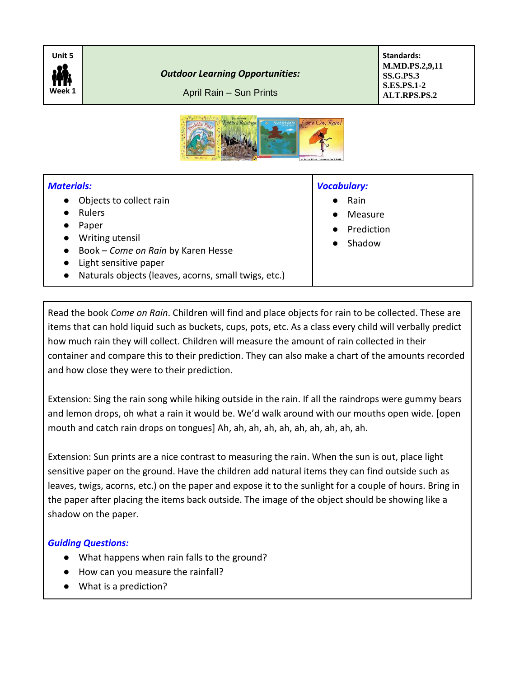

*Outdoor Learning Opportunities:*

April Rain – Sun Prints

**Standards: M.MD.PS.2,9,11 SS.G.PS.3 S.ES.PS.1-2 ALT.RPS.PS.2**



## *Materials:*

- Objects to collect rain
- Rulers
- Paper
- Writing utensil
- Book *Come on Rain* by Karen Hesse
- Light sensitive paper
- Naturals objects (leaves, acorns, small twigs, etc.)

## *Vocabulary:*

- Rain
- **Measure**
- Prediction
- **Shadow**

Read the book *Come on Rain*. Children will find and place objects for rain to be collected. These are items that can hold liquid such as buckets, cups, pots, etc. As a class every child will verbally predict how much rain they will collect. Children will measure the amount of rain collected in their container and compare this to their prediction. They can also make a chart of the amounts recorded and how close they were to their prediction.

Extension: Sing the rain song while hiking outside in the rain. If all the raindrops were gummy bears and lemon drops, oh what a rain it would be. We'd walk around with our mouths open wide. [open mouth and catch rain drops on tongues] Ah, ah, ah, ah, ah, ah, ah, ah, ah, ah.

Extension: Sun prints are a nice contrast to measuring the rain. When the sun is out, place light sensitive paper on the ground. Have the children add natural items they can find outside such as leaves, twigs, acorns, etc.) on the paper and expose it to the sunlight for a couple of hours. Bring in the paper after placing the items back outside. The image of the object should be showing like a shadow on the paper.

## *Guiding Questions:*

- What happens when rain falls to the ground?
- How can you measure the rainfall?
- What is a prediction?